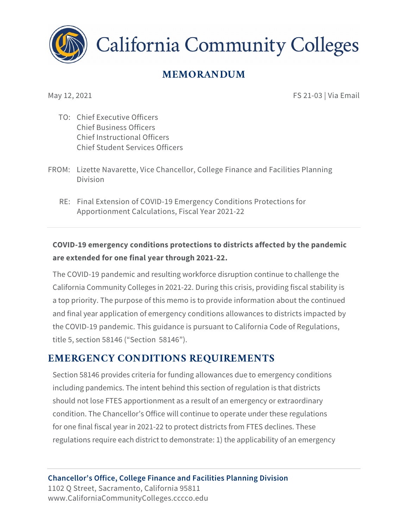

**California Community Colleges** 

# **MEMORANDUM**

May 12, 2021 **FS 21-03 | Via Email** 

- TO: Chief Executive Officers Chief Business Officers Chief Instructional Officers Chief Student Services Officers
- FROM: Lizette Navarette, Vice Chancellor, College Finance and Facilities Planning Division
	- RE: Final Extension of COVID-19 Emergency Conditions Protections for Apportionment Calculations, Fiscal Year 2021-22

### **COVID-19 emergency conditions protections to districts affected by the pandemic are extended for one final year through 2021-22.**

The COVID-19 pandemic and resulting workforce disruption continue to challenge the California Community Colleges in 2021-22. During this crisis, providing fiscal stability is a top priority. The purpose of this memo is to provide information about the continued and final year application of emergency conditions allowances to districts impacted by the COVID-19 pandemic. This guidance is pursuant to California Code of Regulations, title 5, section 58146 ("Section 58146").

## **EMERGENCY CONDITIONS REQUIREMENTS**

Section 58146 provides criteria for funding allowances due to emergency conditions including pandemics. The intent behind this section of regulation is that districts should not lose FTES apportionment as a result of an emergency or extraordinary condition. The Chancellor's Office will continue to operate under these regulations for one final fiscal year in 2021-22 to protect districts from FTES declines. These regulations require each district to demonstrate: 1) the applicability of an emergency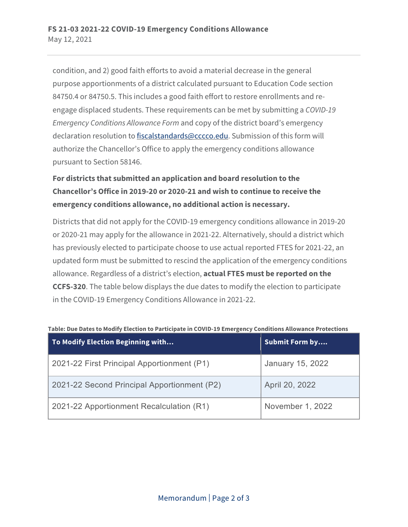condition, and 2) good faith efforts to avoid a material decrease in the general purpose apportionments of a district calculated pursuant to Education Code section 84750.4 or 84750.5. This includes a good faith effort to restore enrollments and reengage displaced students. These requirements can be met by submitting a *COVID-19 Emergency Conditions Allowance Form* and copy of the district board's emergency declaration resolution t[o fiscalstandards@cccco.edu.](mailto:fiscalstandards@cccco.edu) Submission of this form will authorize the Chancellor's Office to apply the emergency conditions allowance pursuant to Section 58146.

### **For districts that submitted an application and board resolution to the Chancellor's Office in 2019-20 or 2020-21 and wish to continue to receive the emergency conditions allowance, no additional action is necessary.**

Districts that did not apply for the COVID-19 emergency conditions allowance in 2019-20 or 2020-21 may apply for the allowance in 2021-22. Alternatively, should a district which has previously elected to participate choose to use actual reported FTES for 2021-22, an updated form must be submitted to rescind the application of the emergency conditions allowance. Regardless of a district's election, **actual FTES must be reported on the CCFS-320**. The table below displays the due dates to modify the election to participate in the COVID-19 Emergency Conditions Allowance in 2021-22.

| To Modify Election Beginning with           | <b>Submit Form by</b> |
|---------------------------------------------|-----------------------|
| 2021-22 First Principal Apportionment (P1)  | January 15, 2022      |
| 2021-22 Second Principal Apportionment (P2) | April 20, 2022        |
| 2021-22 Apportionment Recalculation (R1)    | November 1, 2022      |

#### **Table: Due Dates to Modify Election to Participate in COVID-19 Emergency Conditions Allowance Protections**